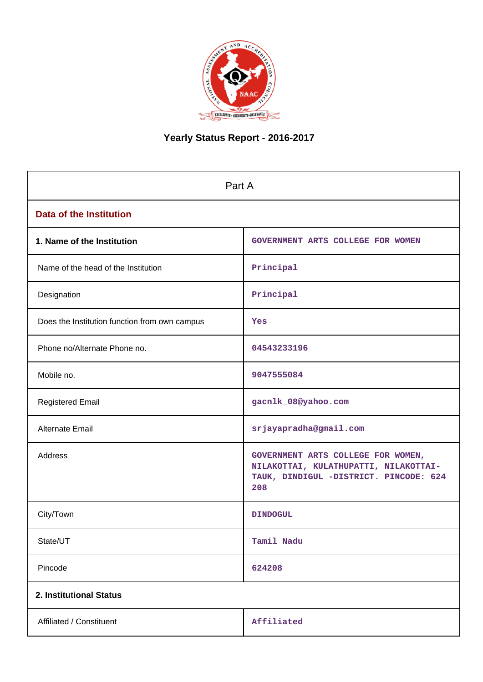

# **Yearly Status Report - 2016-2017**

| Part A                                        |                                                                                                                              |  |  |  |  |  |
|-----------------------------------------------|------------------------------------------------------------------------------------------------------------------------------|--|--|--|--|--|
| <b>Data of the Institution</b>                |                                                                                                                              |  |  |  |  |  |
| 1. Name of the Institution                    | GOVERNMENT ARTS COLLEGE FOR WOMEN                                                                                            |  |  |  |  |  |
| Name of the head of the Institution           | Principal                                                                                                                    |  |  |  |  |  |
| Designation                                   | Principal                                                                                                                    |  |  |  |  |  |
| Does the Institution function from own campus | Yes                                                                                                                          |  |  |  |  |  |
| Phone no/Alternate Phone no.                  | 04543233196                                                                                                                  |  |  |  |  |  |
| Mobile no.                                    | 9047555084                                                                                                                   |  |  |  |  |  |
| <b>Registered Email</b>                       | gacnlk_08@yahoo.com                                                                                                          |  |  |  |  |  |
| Alternate Email                               | srjayapradha@gmail.com                                                                                                       |  |  |  |  |  |
| Address                                       | GOVERNMENT ARTS COLLEGE FOR WOMEN,<br>NILAKOTTAI, KULATHUPATTI, NILAKOTTAI-<br>TAUK, DINDIGUL -DISTRICT. PINCODE: 624<br>208 |  |  |  |  |  |
| City/Town                                     | <b>DINDOGUL</b>                                                                                                              |  |  |  |  |  |
| State/UT                                      | Tamil Nadu                                                                                                                   |  |  |  |  |  |
| Pincode                                       | 624208                                                                                                                       |  |  |  |  |  |
| 2. Institutional Status                       |                                                                                                                              |  |  |  |  |  |
| Affiliated / Constituent                      | Affiliated                                                                                                                   |  |  |  |  |  |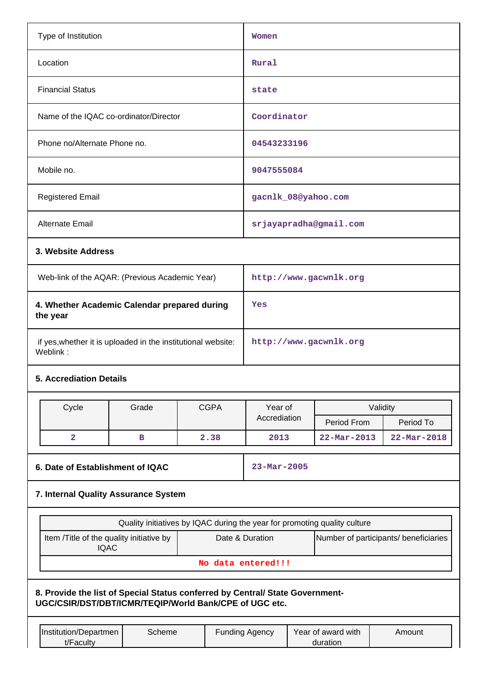| Type of Institution                                                                                                                     |        | Women                                                                     |                       |                                |                          |                                       |  |
|-----------------------------------------------------------------------------------------------------------------------------------------|--------|---------------------------------------------------------------------------|-----------------------|--------------------------------|--------------------------|---------------------------------------|--|
| Location                                                                                                                                |        | Rural                                                                     |                       |                                |                          |                                       |  |
| <b>Financial Status</b>                                                                                                                 |        | state                                                                     |                       |                                |                          |                                       |  |
| Name of the IQAC co-ordinator/Director                                                                                                  |        |                                                                           | Coordinator           |                                |                          |                                       |  |
| Phone no/Alternate Phone no.                                                                                                            |        |                                                                           | 04543233196           |                                |                          |                                       |  |
| Mobile no.                                                                                                                              |        |                                                                           | 9047555084            |                                |                          |                                       |  |
| <b>Registered Email</b>                                                                                                                 |        |                                                                           |                       |                                | gacnlk_08@yahoo.com      |                                       |  |
| Alternate Email                                                                                                                         |        |                                                                           |                       |                                | srjayapradha@gmail.com   |                                       |  |
| 3. Website Address                                                                                                                      |        |                                                                           |                       |                                |                          |                                       |  |
| Web-link of the AQAR: (Previous Academic Year)                                                                                          |        |                                                                           |                       |                                | http://www.gacwnlk.org   |                                       |  |
| 4. Whether Academic Calendar prepared during<br>the year                                                                                |        |                                                                           | Yes                   |                                |                          |                                       |  |
| if yes, whether it is uploaded in the institutional website:<br>Weblink:                                                                |        |                                                                           |                       | http://www.gacwnlk.org         |                          |                                       |  |
| <b>5. Accrediation Details</b>                                                                                                          |        |                                                                           |                       |                                |                          |                                       |  |
| Cycle                                                                                                                                   | Grade  | <b>CGPA</b>                                                               | Year of               |                                |                          | Validity                              |  |
|                                                                                                                                         |        |                                                                           | Accrediation          |                                | Period From              | Period To                             |  |
| $\overline{\mathbf{2}}$                                                                                                                 | в      | 2.38                                                                      | 2013                  |                                | $22 - \text{Mar} - 2013$ | $22 - Mar - 2018$                     |  |
| 6. Date of Establishment of IQAC                                                                                                        |        |                                                                           | $23 - Mar - 2005$     |                                |                          |                                       |  |
| 7. Internal Quality Assurance System                                                                                                    |        |                                                                           |                       |                                |                          |                                       |  |
|                                                                                                                                         |        | Quality initiatives by IQAC during the year for promoting quality culture |                       |                                |                          |                                       |  |
| Item /Title of the quality initiative by<br><b>IQAC</b>                                                                                 |        |                                                                           | Date & Duration       |                                |                          | Number of participants/ beneficiaries |  |
|                                                                                                                                         |        |                                                                           | No data entered!!!    |                                |                          |                                       |  |
| 8. Provide the list of Special Status conferred by Central/ State Government-<br>UGC/CSIR/DST/DBT/ICMR/TEQIP/World Bank/CPE of UGC etc. |        |                                                                           |                       |                                |                          |                                       |  |
| Institution/Departmen<br>t/Faculty                                                                                                      | Scheme |                                                                           | <b>Funding Agency</b> | Year of award with<br>duration | Amount                   |                                       |  |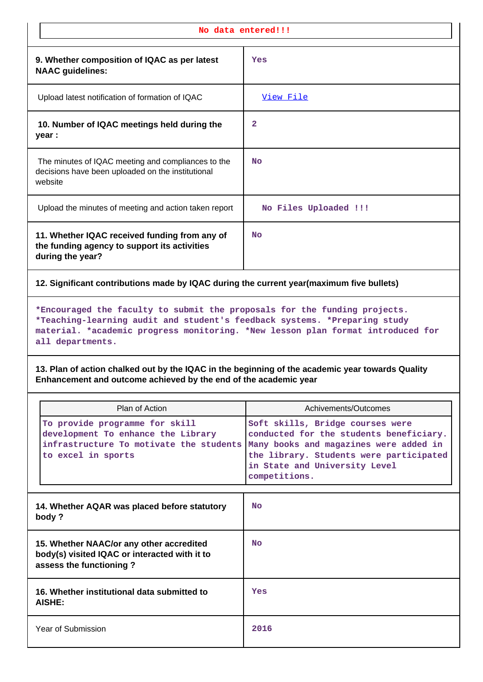| No data entered!!!                                                                                                                                                                                                                                            |                                                                                                                                                                                                                    |  |  |  |  |  |  |
|---------------------------------------------------------------------------------------------------------------------------------------------------------------------------------------------------------------------------------------------------------------|--------------------------------------------------------------------------------------------------------------------------------------------------------------------------------------------------------------------|--|--|--|--|--|--|
| 9. Whether composition of IQAC as per latest<br><b>NAAC</b> guidelines:                                                                                                                                                                                       | Yes                                                                                                                                                                                                                |  |  |  |  |  |  |
| Upload latest notification of formation of IQAC                                                                                                                                                                                                               | View File                                                                                                                                                                                                          |  |  |  |  |  |  |
| 10. Number of IQAC meetings held during the<br>year :                                                                                                                                                                                                         | 2                                                                                                                                                                                                                  |  |  |  |  |  |  |
| The minutes of IQAC meeting and compliances to the<br>decisions have been uploaded on the institutional<br>website                                                                                                                                            | <b>No</b>                                                                                                                                                                                                          |  |  |  |  |  |  |
| Upload the minutes of meeting and action taken report                                                                                                                                                                                                         | No Files Uploaded !!!                                                                                                                                                                                              |  |  |  |  |  |  |
| 11. Whether IQAC received funding from any of<br>the funding agency to support its activities<br>during the year?                                                                                                                                             | No                                                                                                                                                                                                                 |  |  |  |  |  |  |
| 12. Significant contributions made by IQAC during the current year(maximum five bullets)                                                                                                                                                                      |                                                                                                                                                                                                                    |  |  |  |  |  |  |
| *Encouraged the faculty to submit the proposals for the funding projects.<br>*Teaching-learning audit and student's feedback systems. *Preparing study<br>material. *academic progress monitoring. *New lesson plan format introduced for<br>all departments. |                                                                                                                                                                                                                    |  |  |  |  |  |  |
|                                                                                                                                                                                                                                                               | 13. Plan of action chalked out by the IQAC in the beginning of the academic year towards Quality<br>Enhancement and outcome achieved by the end of the academic year                                               |  |  |  |  |  |  |
|                                                                                                                                                                                                                                                               |                                                                                                                                                                                                                    |  |  |  |  |  |  |
| Plan of Action                                                                                                                                                                                                                                                | Achivements/Outcomes                                                                                                                                                                                               |  |  |  |  |  |  |
| To provide programme for skill<br>development To enhance the Library<br>infrastructure To motivate the students<br>to excel in sports                                                                                                                         | Soft skills, Bridge courses were<br>conducted for the students beneficiary.<br>Many books and magazines were added in<br>the library. Students were participated<br>in State and University Level<br>competitions. |  |  |  |  |  |  |
| 14. Whether AQAR was placed before statutory<br>body?                                                                                                                                                                                                         | <b>No</b>                                                                                                                                                                                                          |  |  |  |  |  |  |
| 15. Whether NAAC/or any other accredited<br>body(s) visited IQAC or interacted with it to<br>assess the functioning?                                                                                                                                          | <b>No</b>                                                                                                                                                                                                          |  |  |  |  |  |  |
| 16. Whether institutional data submitted to<br>AISHE:                                                                                                                                                                                                         | Yes                                                                                                                                                                                                                |  |  |  |  |  |  |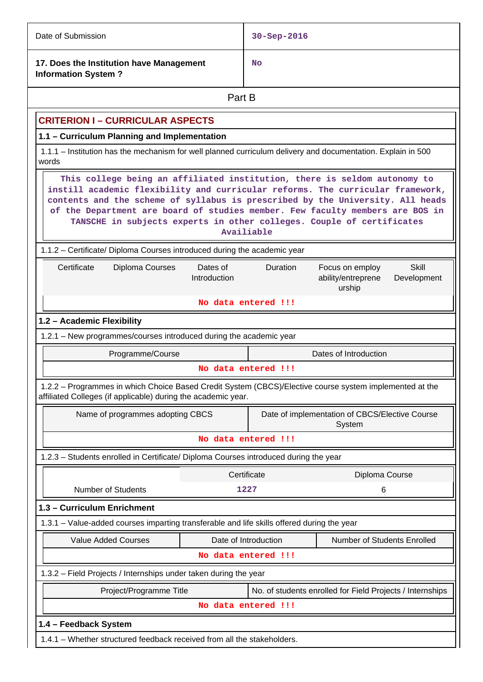| Date of Submission                                                                                                                                                       |                          | $30 - Sep - 2016$   |                                                                                                                                                                                                                                     |  |  |  |  |
|--------------------------------------------------------------------------------------------------------------------------------------------------------------------------|--------------------------|---------------------|-------------------------------------------------------------------------------------------------------------------------------------------------------------------------------------------------------------------------------------|--|--|--|--|
| 17. Does the Institution have Management<br><b>Information System?</b>                                                                                                   |                          | No                  |                                                                                                                                                                                                                                     |  |  |  |  |
|                                                                                                                                                                          | Part B                   |                     |                                                                                                                                                                                                                                     |  |  |  |  |
| <b>CRITERION I - CURRICULAR ASPECTS</b>                                                                                                                                  |                          |                     |                                                                                                                                                                                                                                     |  |  |  |  |
| 1.1 - Curriculum Planning and Implementation                                                                                                                             |                          |                     |                                                                                                                                                                                                                                     |  |  |  |  |
| 1.1.1 – Institution has the mechanism for well planned curriculum delivery and documentation. Explain in 500<br>words                                                    |                          |                     |                                                                                                                                                                                                                                     |  |  |  |  |
| instill academic flexibility and curricular reforms. The curricular framework,<br>contents and the scheme of syllabus is prescribed by the University. All heads         |                          | Availiable          | This college being an affiliated institution, there is seldom autonomy to<br>of the Department are board of studies member. Few faculty members are BOS in<br>TANSCHE in subjects experts in other colleges. Couple of certificates |  |  |  |  |
| 1.1.2 – Certificate/ Diploma Courses introduced during the academic year                                                                                                 |                          |                     |                                                                                                                                                                                                                                     |  |  |  |  |
| Certificate<br>Diploma Courses                                                                                                                                           | Dates of<br>Introduction | Duration            | <b>Skill</b><br>Focus on employ<br>Development<br>ability/entreprene<br>urship                                                                                                                                                      |  |  |  |  |
|                                                                                                                                                                          |                          | No data entered !!! |                                                                                                                                                                                                                                     |  |  |  |  |
| 1.2 - Academic Flexibility                                                                                                                                               |                          |                     |                                                                                                                                                                                                                                     |  |  |  |  |
| 1.2.1 - New programmes/courses introduced during the academic year                                                                                                       |                          |                     |                                                                                                                                                                                                                                     |  |  |  |  |
| Programme/Course                                                                                                                                                         |                          |                     | Dates of Introduction                                                                                                                                                                                                               |  |  |  |  |
|                                                                                                                                                                          |                          | No data entered !!! |                                                                                                                                                                                                                                     |  |  |  |  |
| 1.2.2 - Programmes in which Choice Based Credit System (CBCS)/Elective course system implemented at the<br>affiliated Colleges (if applicable) during the academic year. |                          |                     |                                                                                                                                                                                                                                     |  |  |  |  |
| Name of programmes adopting CBCS                                                                                                                                         |                          |                     | Date of implementation of CBCS/Elective Course<br>System                                                                                                                                                                            |  |  |  |  |
|                                                                                                                                                                          |                          | No data entered !!! |                                                                                                                                                                                                                                     |  |  |  |  |
| 1.2.3 - Students enrolled in Certificate/ Diploma Courses introduced during the year                                                                                     |                          |                     |                                                                                                                                                                                                                                     |  |  |  |  |
|                                                                                                                                                                          |                          | Certificate         | Diploma Course                                                                                                                                                                                                                      |  |  |  |  |
| <b>Number of Students</b>                                                                                                                                                |                          | 1227                | 6                                                                                                                                                                                                                                   |  |  |  |  |
| 1.3 - Curriculum Enrichment                                                                                                                                              |                          |                     |                                                                                                                                                                                                                                     |  |  |  |  |
| 1.3.1 – Value-added courses imparting transferable and life skills offered during the year                                                                               |                          |                     |                                                                                                                                                                                                                                     |  |  |  |  |
| <b>Value Added Courses</b><br>Date of Introduction<br>Number of Students Enrolled                                                                                        |                          |                     |                                                                                                                                                                                                                                     |  |  |  |  |
|                                                                                                                                                                          |                          | No data entered !!! |                                                                                                                                                                                                                                     |  |  |  |  |
|                                                                                                                                                                          |                          |                     |                                                                                                                                                                                                                                     |  |  |  |  |
| Project/Programme Title<br>No. of students enrolled for Field Projects / Internships                                                                                     |                          |                     |                                                                                                                                                                                                                                     |  |  |  |  |
|                                                                                                                                                                          |                          |                     |                                                                                                                                                                                                                                     |  |  |  |  |
| 1.3.2 - Field Projects / Internships under taken during the year                                                                                                         |                          |                     |                                                                                                                                                                                                                                     |  |  |  |  |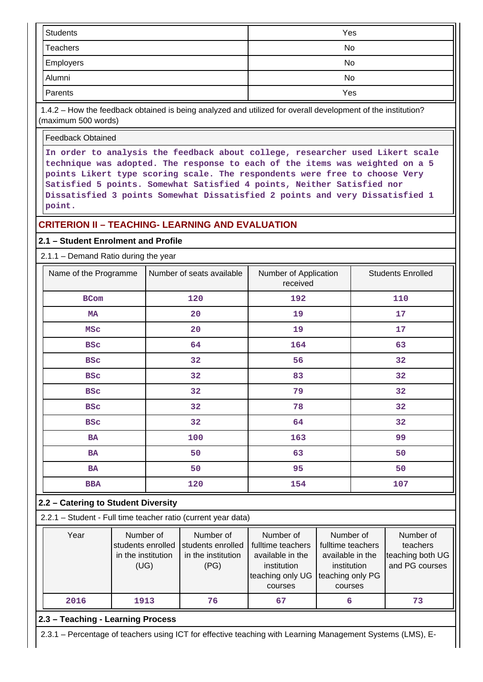| <b>Students</b> | Yes |
|-----------------|-----|
| Teachers        | No  |
| Employers       | No  |
| Alumni          | No  |
| Parents         | Yes |

 1.4.2 – How the feedback obtained is being analyzed and utilized for overall development of the institution? (maximum 500 words)

Feedback Obtained

**In order to analysis the feedback about college, researcher used Likert scale technique was adopted. The response to each of the items was weighted on a 5 points Likert type scoring scale. The respondents were free to choose Very Satisfied 5 points. Somewhat Satisfied 4 points, Neither Satisfied nor Dissatisfied 3 points Somewhat Dissatisfied 2 points and very Dissatisfied 1 point.**

# **CRITERION II – TEACHING- LEARNING AND EVALUATION**

#### **2.1 – Student Enrolment and Profile**

2.1.1 – Demand Ratio during the year

| Name of the Programme | Number of seats available | Number of Application<br>received | <b>Students Enrolled</b> |
|-----------------------|---------------------------|-----------------------------------|--------------------------|
| BCom                  | 120                       | 192                               | 110                      |
| МA                    | 20                        | 19                                | 17                       |
| <b>MSC</b>            | 20                        | 19                                | 17                       |
| <b>BSC</b>            | 64                        | 164                               | 63                       |
| <b>BSC</b>            | 32                        | 56                                | 32                       |
| <b>BSC</b>            | 32                        | 83                                | 32                       |
| <b>BSC</b>            | 32                        | 79                                | 32                       |
| <b>BSC</b>            | 32                        | 78                                | 32                       |
| <b>BSC</b>            | 32                        | 64                                | 32                       |
| BA                    | 100                       | 163                               | 99                       |
| <b>BA</b>             | 50                        | 63                                | 50                       |
| BA                    | 50                        | 95                                | 50                       |
| <b>BBA</b>            | 120                       | 154                               | 107                      |

#### **2.2 – Catering to Student Diversity**

2.2.1 – Student - Full time teacher ratio (current year data)

| Year | Number of                              | Number of          | Number of         | Number of         | Number of        |
|------|----------------------------------------|--------------------|-------------------|-------------------|------------------|
|      | students enrolled<br>students enrolled |                    | fulltime teachers | fulltime teachers | teachers         |
|      | in the institution                     | in the institution | available in the  | available in the  | teaching both UG |
|      | (UG)                                   | (PG)               | institution       | institution       | and PG courses   |
|      |                                        |                    | teaching only UG  | teaching only PG  |                  |
|      |                                        |                    | courses           | courses           |                  |
| 2016 | 1913                                   | 76                 | 67                | 6                 | 73               |

# **2.3 – Teaching - Learning Process**

2.3.1 – Percentage of teachers using ICT for effective teaching with Learning Management Systems (LMS), E-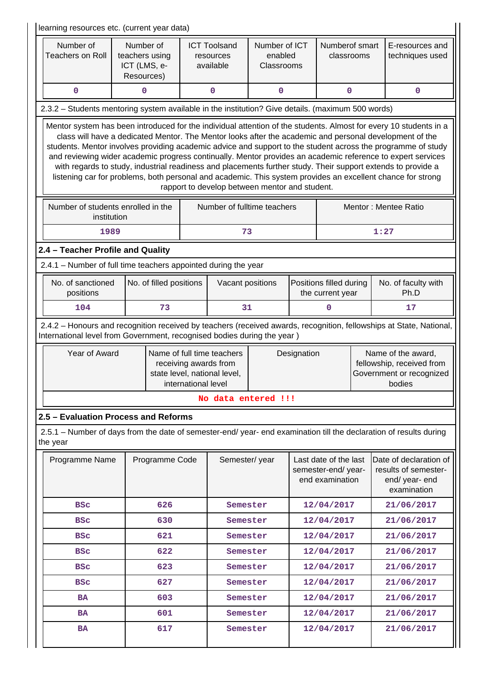| learning resources etc. (current year data)                                                                                                                                                                                                                                                                                                                                                                                                                                                                                                                                                                                                                                                                                                  |                                |                         |                     |                                                                                                    |                                        |                              |                                                                                       |                                                                                                                     |
|----------------------------------------------------------------------------------------------------------------------------------------------------------------------------------------------------------------------------------------------------------------------------------------------------------------------------------------------------------------------------------------------------------------------------------------------------------------------------------------------------------------------------------------------------------------------------------------------------------------------------------------------------------------------------------------------------------------------------------------------|--------------------------------|-------------------------|---------------------|----------------------------------------------------------------------------------------------------|----------------------------------------|------------------------------|---------------------------------------------------------------------------------------|---------------------------------------------------------------------------------------------------------------------|
| Number of<br><b>Teachers on Roll</b>                                                                                                                                                                                                                                                                                                                                                                                                                                                                                                                                                                                                                                                                                                         | teachers using<br>ICT (LMS, e- | Number of<br>Resources) |                     | <b>ICT Toolsand</b><br>resources<br>available                                                      | Number of ICT<br>enabled<br>Classrooms | Numberof smart<br>classrooms |                                                                                       | E-resources and<br>techniques used                                                                                  |
| 0                                                                                                                                                                                                                                                                                                                                                                                                                                                                                                                                                                                                                                                                                                                                            |                                | 0                       |                     | 0                                                                                                  | 0                                      |                              | 0                                                                                     | $\mathbf 0$                                                                                                         |
| 2.3.2 - Students mentoring system available in the institution? Give details. (maximum 500 words)                                                                                                                                                                                                                                                                                                                                                                                                                                                                                                                                                                                                                                            |                                |                         |                     |                                                                                                    |                                        |                              |                                                                                       |                                                                                                                     |
| Mentor system has been introduced for the individual attention of the students. Almost for every 10 students in a<br>class will have a dedicated Mentor. The Mentor looks after the academic and personal development of the<br>students. Mentor involves providing academic advice and support to the student across the programme of study<br>and reviewing wider academic progress continually. Mentor provides an academic reference to expert services<br>with regards to study, industrial readiness and placements further study. Their support extends to provide a<br>listening car for problems, both personal and academic. This system provides an excellent chance for strong<br>rapport to develop between mentor and student. |                                |                         |                     |                                                                                                    |                                        |                              |                                                                                       |                                                                                                                     |
| Number of students enrolled in the<br>institution                                                                                                                                                                                                                                                                                                                                                                                                                                                                                                                                                                                                                                                                                            |                                |                         |                     |                                                                                                    | Number of fulltime teachers            |                              |                                                                                       | Mentor: Mentee Ratio                                                                                                |
| 1989                                                                                                                                                                                                                                                                                                                                                                                                                                                                                                                                                                                                                                                                                                                                         |                                |                         |                     | 73                                                                                                 |                                        |                              |                                                                                       | 1:27                                                                                                                |
| 2.4 - Teacher Profile and Quality                                                                                                                                                                                                                                                                                                                                                                                                                                                                                                                                                                                                                                                                                                            |                                |                         |                     |                                                                                                    |                                        |                              |                                                                                       |                                                                                                                     |
| 2.4.1 - Number of full time teachers appointed during the year                                                                                                                                                                                                                                                                                                                                                                                                                                                                                                                                                                                                                                                                               |                                |                         |                     |                                                                                                    |                                        |                              |                                                                                       |                                                                                                                     |
| No. of sanctioned<br>positions                                                                                                                                                                                                                                                                                                                                                                                                                                                                                                                                                                                                                                                                                                               |                                | No. of filled positions |                     | Vacant positions                                                                                   |                                        |                              | Positions filled during<br>the current year                                           | No. of faculty with<br>Ph.D                                                                                         |
| 104                                                                                                                                                                                                                                                                                                                                                                                                                                                                                                                                                                                                                                                                                                                                          |                                | 73                      |                     | 31                                                                                                 |                                        |                              | 0                                                                                     | 17                                                                                                                  |
| International level from Government, recognised bodies during the year)                                                                                                                                                                                                                                                                                                                                                                                                                                                                                                                                                                                                                                                                      |                                |                         |                     |                                                                                                    |                                        |                              |                                                                                       | 2.4.2 - Honours and recognition received by teachers (received awards, recognition, fellowships at State, National, |
| Year of Award                                                                                                                                                                                                                                                                                                                                                                                                                                                                                                                                                                                                                                                                                                                                |                                |                         | international level | Name of full time teachers<br>Designation<br>receiving awards from<br>state level, national level, |                                        |                              | Name of the award,<br>fellowship, received from<br>Government or recognized<br>bodies |                                                                                                                     |
|                                                                                                                                                                                                                                                                                                                                                                                                                                                                                                                                                                                                                                                                                                                                              |                                |                         |                     |                                                                                                    | No data entered !!!                    |                              |                                                                                       |                                                                                                                     |
| 2.5 - Evaluation Process and Reforms                                                                                                                                                                                                                                                                                                                                                                                                                                                                                                                                                                                                                                                                                                         |                                |                         |                     |                                                                                                    |                                        |                              |                                                                                       |                                                                                                                     |
| 2.5.1 – Number of days from the date of semester-end/ year- end examination till the declaration of results during<br>the year                                                                                                                                                                                                                                                                                                                                                                                                                                                                                                                                                                                                               |                                |                         |                     |                                                                                                    |                                        |                              |                                                                                       |                                                                                                                     |
| Programme Name                                                                                                                                                                                                                                                                                                                                                                                                                                                                                                                                                                                                                                                                                                                               |                                | Programme Code          |                     | Semester/year                                                                                      |                                        |                              | Last date of the last<br>semester-end/year-<br>end examination                        | Date of declaration of<br>results of semester-<br>end/year-end<br>examination                                       |
| <b>BSC</b>                                                                                                                                                                                                                                                                                                                                                                                                                                                                                                                                                                                                                                                                                                                                   |                                | 626                     |                     | Semester                                                                                           |                                        |                              | 12/04/2017                                                                            | 21/06/2017                                                                                                          |
| <b>BSC</b>                                                                                                                                                                                                                                                                                                                                                                                                                                                                                                                                                                                                                                                                                                                                   |                                | 630                     |                     | Semester                                                                                           |                                        |                              | 12/04/2017                                                                            | 21/06/2017                                                                                                          |
| <b>BSC</b>                                                                                                                                                                                                                                                                                                                                                                                                                                                                                                                                                                                                                                                                                                                                   |                                | 621                     |                     | Semester                                                                                           |                                        |                              | 12/04/2017                                                                            | 21/06/2017                                                                                                          |
| <b>BSC</b>                                                                                                                                                                                                                                                                                                                                                                                                                                                                                                                                                                                                                                                                                                                                   |                                | 622                     |                     | Semester                                                                                           |                                        |                              | 12/04/2017                                                                            | 21/06/2017                                                                                                          |
| <b>BSC</b>                                                                                                                                                                                                                                                                                                                                                                                                                                                                                                                                                                                                                                                                                                                                   |                                | 623                     |                     | Semester                                                                                           |                                        |                              | 12/04/2017                                                                            | 21/06/2017                                                                                                          |
| <b>BSC</b>                                                                                                                                                                                                                                                                                                                                                                                                                                                                                                                                                                                                                                                                                                                                   |                                | 627                     |                     | Semester                                                                                           |                                        |                              | 12/04/2017                                                                            | 21/06/2017                                                                                                          |
| <b>BA</b>                                                                                                                                                                                                                                                                                                                                                                                                                                                                                                                                                                                                                                                                                                                                    |                                | 603                     |                     | Semester                                                                                           |                                        |                              | 12/04/2017                                                                            | 21/06/2017                                                                                                          |
| <b>BA</b>                                                                                                                                                                                                                                                                                                                                                                                                                                                                                                                                                                                                                                                                                                                                    |                                | 601                     |                     | Semester                                                                                           |                                        |                              | 12/04/2017                                                                            | 21/06/2017                                                                                                          |
| <b>BA</b>                                                                                                                                                                                                                                                                                                                                                                                                                                                                                                                                                                                                                                                                                                                                    |                                | 617                     |                     | Semester                                                                                           |                                        |                              | 12/04/2017                                                                            | 21/06/2017                                                                                                          |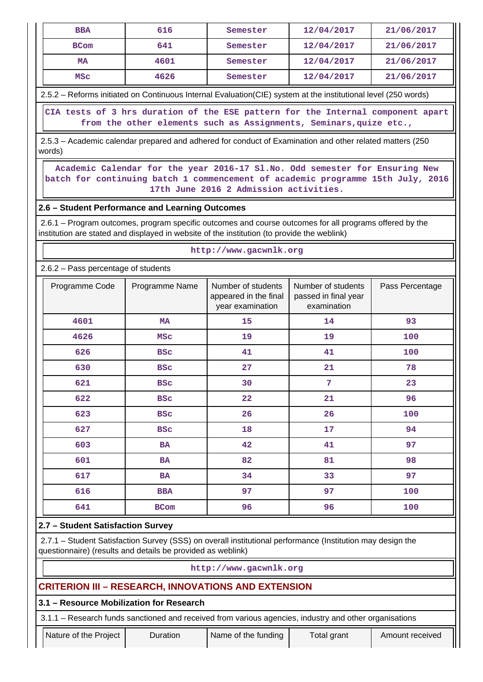| <b>BBA</b>  | 616  | Semester | 12/04/2017 | 21/06/2017 |
|-------------|------|----------|------------|------------|
| <b>BCom</b> | 641  | Semester | 12/04/2017 | 21/06/2017 |
| <b>MA</b>   | 4601 | Semester | 12/04/2017 | 21/06/2017 |
| MSC         | 4626 | Semester | 12/04/2017 | 21/06/2017 |

2.5.2 – Reforms initiated on Continuous Internal Evaluation(CIE) system at the institutional level (250 words)

 **CIA tests of 3 hrs duration of the ESE pattern for the Internal component apart from the other elements such as Assignments, Seminars,quize etc.,**

 2.5.3 – Academic calendar prepared and adhered for conduct of Examination and other related matters (250 words)

 **Academic Calendar for the year 2016-17 Sl.No. Odd semester for Ensuring New batch for continuing batch 1 commencement of academic programme 15th July, 2016 17th June 2016 2 Admission activities.**

**http://www.gacwnlk.org**

# **2.6 – Student Performance and Learning Outcomes**

 2.6.1 – Program outcomes, program specific outcomes and course outcomes for all programs offered by the institution are stated and displayed in website of the institution (to provide the weblink)

| 2.6.2 - Pass percentage of students |                |                                                                 |                                                           |                 |  |  |  |  |
|-------------------------------------|----------------|-----------------------------------------------------------------|-----------------------------------------------------------|-----------------|--|--|--|--|
| Programme Code                      | Programme Name | Number of students<br>appeared in the final<br>year examination | Number of students<br>passed in final year<br>examination | Pass Percentage |  |  |  |  |
| 4601                                | <b>MA</b>      | 15                                                              | 14                                                        | 93              |  |  |  |  |
| 4626                                | <b>MSC</b>     | 19                                                              | 19                                                        | 100             |  |  |  |  |
| 626                                 | <b>BSC</b>     | 41                                                              | 41                                                        | 100             |  |  |  |  |
| 630                                 | <b>BSC</b>     | 27                                                              | 21                                                        | 78              |  |  |  |  |
| 621                                 | <b>BSC</b>     | 30                                                              | 7                                                         | 23              |  |  |  |  |
| 622                                 | <b>BSC</b>     | 22                                                              | 21                                                        | 96              |  |  |  |  |
| 623                                 | <b>BSC</b>     | 26                                                              | 26                                                        | 100             |  |  |  |  |
| 627                                 | <b>BSC</b>     | 18                                                              | 17                                                        | 94              |  |  |  |  |
| 603                                 | <b>BA</b>      | 42                                                              | 41                                                        | 97              |  |  |  |  |
| 601                                 | <b>BA</b>      | 82                                                              | 81                                                        | 98              |  |  |  |  |
| 617                                 | <b>BA</b>      | 34                                                              | 33                                                        | 97              |  |  |  |  |
| 616                                 | <b>BBA</b>     | 97                                                              | 97                                                        | 100             |  |  |  |  |
| 641                                 | <b>BCom</b>    | 96                                                              | 96                                                        | 100             |  |  |  |  |

# **2.7 – Student Satisfaction Survey**

 2.7.1 – Student Satisfaction Survey (SSS) on overall institutional performance (Institution may design the questionnaire) (results and details be provided as weblink)

#### **http://www.gacwnlk.org**

# **CRITERION III – RESEARCH, INNOVATIONS AND EXTENSION**

#### **3.1 – Resource Mobilization for Research**

3.1.1 – Research funds sanctioned and received from various agencies, industry and other organisations

Nature of the Project | Duration | Name of the funding | Total grant | Amount received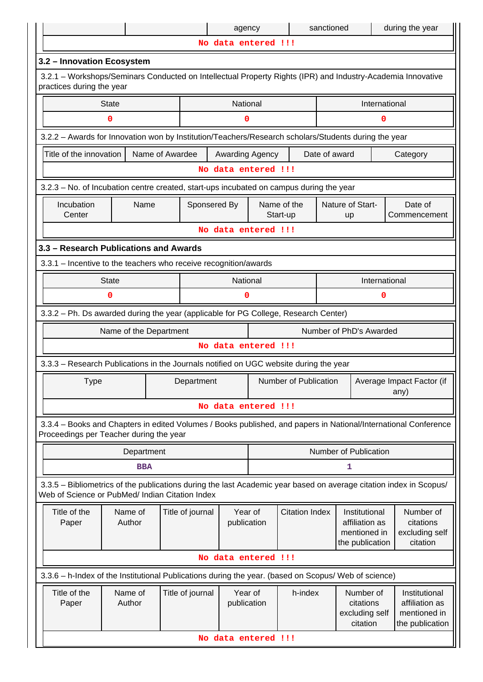|                                                                                                                                          |                        |                  | agency                 |                                                 |                         | sanctioned                                                         |                                                      | during the year                                                                                                    |
|------------------------------------------------------------------------------------------------------------------------------------------|------------------------|------------------|------------------------|-------------------------------------------------|-------------------------|--------------------------------------------------------------------|------------------------------------------------------|--------------------------------------------------------------------------------------------------------------------|
|                                                                                                                                          |                        |                  |                        | No data entered !!!                             |                         |                                                                    |                                                      |                                                                                                                    |
| 3.2 - Innovation Ecosystem                                                                                                               |                        |                  |                        |                                                 |                         |                                                                    |                                                      |                                                                                                                    |
| 3.2.1 - Workshops/Seminars Conducted on Intellectual Property Rights (IPR) and Industry-Academia Innovative<br>practices during the year |                        |                  |                        |                                                 |                         |                                                                    |                                                      |                                                                                                                    |
|                                                                                                                                          | <b>State</b>           |                  | National               |                                                 |                         |                                                                    | International                                        |                                                                                                                    |
|                                                                                                                                          | $\mathbf 0$            |                  | 0                      |                                                 |                         |                                                                    | 0                                                    |                                                                                                                    |
| 3.2.2 - Awards for Innovation won by Institution/Teachers/Research scholars/Students during the year                                     |                        |                  |                        |                                                 |                         |                                                                    |                                                      |                                                                                                                    |
| Title of the innovation                                                                                                                  |                        | Name of Awardee  |                        | Awarding Agency                                 |                         | Date of award                                                      |                                                      | Category                                                                                                           |
|                                                                                                                                          |                        |                  |                        | No data entered !!!                             |                         |                                                                    |                                                      |                                                                                                                    |
| 3.2.3 – No. of Incubation centre created, start-ups incubated on campus during the year                                                  |                        |                  |                        |                                                 |                         |                                                                    |                                                      |                                                                                                                    |
| Incubation<br>Center                                                                                                                     | Name                   | Sponsered By     |                        |                                                 | Name of the<br>Start-up |                                                                    | Nature of Start-<br>up                               | Date of<br>Commencement                                                                                            |
|                                                                                                                                          |                        |                  |                        | No data entered !!!                             |                         |                                                                    |                                                      |                                                                                                                    |
| 3.3 - Research Publications and Awards                                                                                                   |                        |                  |                        |                                                 |                         |                                                                    |                                                      |                                                                                                                    |
| 3.3.1 - Incentive to the teachers who receive recognition/awards                                                                         |                        |                  |                        |                                                 |                         |                                                                    |                                                      |                                                                                                                    |
|                                                                                                                                          | <b>State</b><br>0      |                  | National<br>0          |                                                 |                         |                                                                    | International<br>0                                   |                                                                                                                    |
|                                                                                                                                          |                        |                  |                        |                                                 |                         |                                                                    |                                                      |                                                                                                                    |
| 3.3.2 - Ph. Ds awarded during the year (applicable for PG College, Research Center)                                                      |                        |                  |                        |                                                 |                         |                                                                    |                                                      |                                                                                                                    |
|                                                                                                                                          | Name of the Department |                  |                        | No data entered !!!                             |                         |                                                                    | Number of PhD's Awarded                              |                                                                                                                    |
|                                                                                                                                          |                        |                  |                        |                                                 |                         |                                                                    |                                                      |                                                                                                                    |
| 3.3.3 - Research Publications in the Journals notified on UGC website during the year                                                    |                        |                  |                        |                                                 |                         |                                                                    |                                                      |                                                                                                                    |
| <b>Type</b>                                                                                                                              |                        | Department       |                        |                                                 | Number of Publication   |                                                                    |                                                      | Average Impact Factor (if<br>any)                                                                                  |
|                                                                                                                                          |                        |                  |                        | No data entered !!!                             |                         |                                                                    |                                                      |                                                                                                                    |
| Proceedings per Teacher during the year                                                                                                  |                        |                  |                        |                                                 |                         |                                                                    |                                                      | 3.3.4 - Books and Chapters in edited Volumes / Books published, and papers in National/International Conference    |
|                                                                                                                                          | Department             |                  |                        |                                                 |                         |                                                                    | Number of Publication                                |                                                                                                                    |
|                                                                                                                                          | <b>BBA</b>             |                  |                        |                                                 |                         |                                                                    | 1                                                    |                                                                                                                    |
| Web of Science or PubMed/ Indian Citation Index                                                                                          |                        |                  |                        |                                                 |                         |                                                                    |                                                      | 3.3.5 - Bibliometrics of the publications during the last Academic year based on average citation index in Scopus/ |
| Title of the<br>Paper                                                                                                                    | Name of<br>Author      | Title of journal |                        | <b>Citation Index</b><br>Year of<br>publication |                         | Institutional<br>affiliation as<br>mentioned in<br>the publication | Number of<br>citations<br>excluding self<br>citation |                                                                                                                    |
|                                                                                                                                          |                        |                  |                        | No data entered !!!                             |                         |                                                                    |                                                      |                                                                                                                    |
| 3.3.6 - h-Index of the Institutional Publications during the year. (based on Scopus/ Web of science)                                     |                        |                  |                        |                                                 |                         |                                                                    |                                                      |                                                                                                                    |
| Title of the<br>Paper                                                                                                                    | Name of<br>Author      | Title of journal | Year of<br>publication |                                                 | h-index                 |                                                                    | Number of<br>citations<br>excluding self<br>citation | Institutional<br>affiliation as<br>mentioned in<br>the publication                                                 |
|                                                                                                                                          |                        |                  |                        | No data entered !!!                             |                         |                                                                    |                                                      |                                                                                                                    |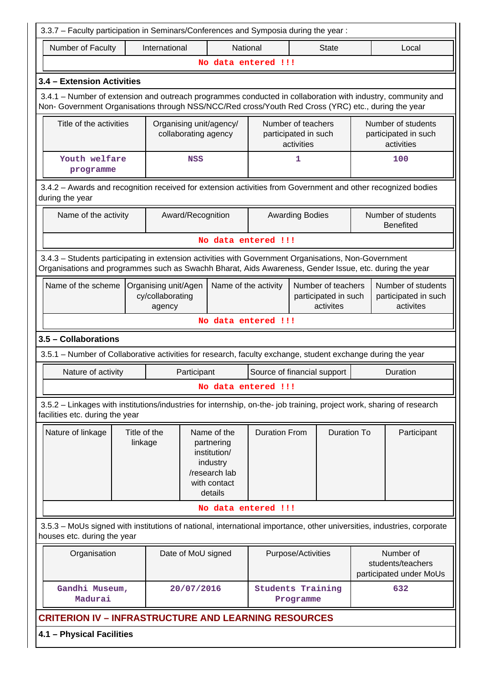| 3.3.7 - Faculty participation in Seminars/Conferences and Symposia during the year:                                                                                                                                |                                                                                                                                                                         |                      |                             |                        |                                                         |  |                                                           |
|--------------------------------------------------------------------------------------------------------------------------------------------------------------------------------------------------------------------|-------------------------------------------------------------------------------------------------------------------------------------------------------------------------|----------------------|-----------------------------|------------------------|---------------------------------------------------------|--|-----------------------------------------------------------|
| Number of Faculty<br>International<br>National<br><b>State</b><br>Local                                                                                                                                            |                                                                                                                                                                         |                      |                             |                        |                                                         |  |                                                           |
|                                                                                                                                                                                                                    |                                                                                                                                                                         | No data entered !!!  |                             |                        |                                                         |  |                                                           |
| 3.4 - Extension Activities                                                                                                                                                                                         |                                                                                                                                                                         |                      |                             |                        |                                                         |  |                                                           |
| 3.4.1 – Number of extension and outreach programmes conducted in collaboration with industry, community and<br>Non- Government Organisations through NSS/NCC/Red cross/Youth Red Cross (YRC) etc., during the year |                                                                                                                                                                         |                      |                             |                        |                                                         |  |                                                           |
| Title of the activities                                                                                                                                                                                            | Number of teachers<br>Number of students<br>Organising unit/agency/<br>collaborating agency<br>participated in such<br>participated in such<br>activities<br>activities |                      |                             |                        |                                                         |  |                                                           |
| Youth welfare<br>programme                                                                                                                                                                                         | <b>NSS</b>                                                                                                                                                              |                      |                             | 1                      |                                                         |  | 100                                                       |
| 3.4.2 - Awards and recognition received for extension activities from Government and other recognized bodies<br>during the year                                                                                    |                                                                                                                                                                         |                      |                             |                        |                                                         |  |                                                           |
| Name of the activity                                                                                                                                                                                               | Award/Recognition                                                                                                                                                       |                      |                             | <b>Awarding Bodies</b> |                                                         |  | Number of students<br><b>Benefited</b>                    |
|                                                                                                                                                                                                                    |                                                                                                                                                                         | No data entered !!!  |                             |                        |                                                         |  |                                                           |
| 3.4.3 - Students participating in extension activities with Government Organisations, Non-Government<br>Organisations and programmes such as Swachh Bharat, Aids Awareness, Gender Issue, etc. during the year     |                                                                                                                                                                         |                      |                             |                        |                                                         |  |                                                           |
| Name of the scheme                                                                                                                                                                                                 | Organising unit/Agen<br>cy/collaborating<br>agency                                                                                                                      | Name of the activity |                             |                        | Number of teachers<br>participated in such<br>activites |  | Number of students<br>participated in such<br>activites   |
|                                                                                                                                                                                                                    |                                                                                                                                                                         | No data entered !!!  |                             |                        |                                                         |  |                                                           |
| 3.5 - Collaborations                                                                                                                                                                                               |                                                                                                                                                                         |                      |                             |                        |                                                         |  |                                                           |
| 3.5.1 – Number of Collaborative activities for research, faculty exchange, student exchange during the year                                                                                                        |                                                                                                                                                                         |                      |                             |                        |                                                         |  |                                                           |
| Nature of activity                                                                                                                                                                                                 | Participant                                                                                                                                                             |                      | Source of financial support |                        |                                                         |  | Duration                                                  |
|                                                                                                                                                                                                                    |                                                                                                                                                                         | No data entered !!!  |                             |                        |                                                         |  |                                                           |
| 3.5.2 - Linkages with institutions/industries for internship, on-the- job training, project work, sharing of research<br>facilities etc. during the year                                                           |                                                                                                                                                                         |                      |                             |                        |                                                         |  |                                                           |
| Nature of linkage                                                                                                                                                                                                  | Title of the<br>Name of the<br>linkage<br>partnering<br>institution/<br>industry<br>/research lab<br>with contact<br>details                                            |                      |                             |                        | <b>Duration To</b>                                      |  | Participant                                               |
|                                                                                                                                                                                                                    |                                                                                                                                                                         | No data entered !!!  |                             |                        |                                                         |  |                                                           |
| 3.5.3 - MoUs signed with institutions of national, international importance, other universities, industries, corporate<br>houses etc. during the year                                                              |                                                                                                                                                                         |                      |                             |                        |                                                         |  |                                                           |
| Organisation                                                                                                                                                                                                       | Date of MoU signed                                                                                                                                                      |                      |                             | Purpose/Activities     |                                                         |  | Number of<br>students/teachers<br>participated under MoUs |
| Gandhi Museum,<br>Madurai                                                                                                                                                                                          | 20/07/2016                                                                                                                                                              |                      | <b>Students Training</b>    | Programme              |                                                         |  | 632                                                       |
| <b>CRITERION IV - INFRASTRUCTURE AND LEARNING RESOURCES</b>                                                                                                                                                        |                                                                                                                                                                         |                      |                             |                        |                                                         |  |                                                           |
| 4.1 - Physical Facilities                                                                                                                                                                                          |                                                                                                                                                                         |                      |                             |                        |                                                         |  |                                                           |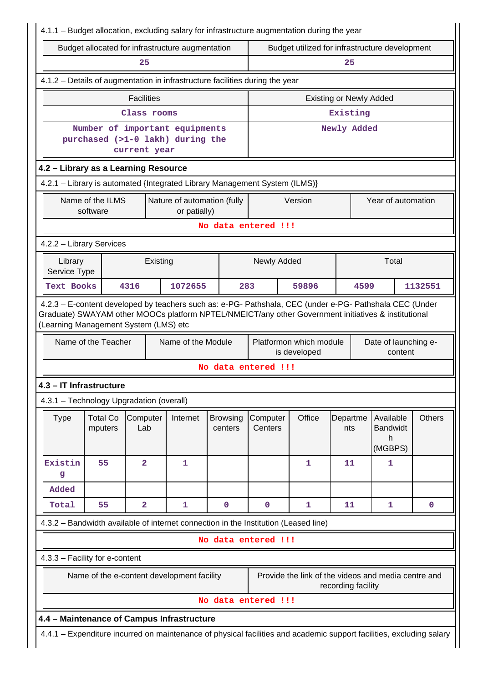|                                                                                                                                                                                                                                                                                                                                                         |                                                                             |                                          |                                                                                     |                                                |                                | 4.1.1 - Budget allocation, excluding salary for infrastructure augmentation during the year                          |                    |                                              |               |  |  |  |
|---------------------------------------------------------------------------------------------------------------------------------------------------------------------------------------------------------------------------------------------------------------------------------------------------------------------------------------------------------|-----------------------------------------------------------------------------|------------------------------------------|-------------------------------------------------------------------------------------|------------------------------------------------|--------------------------------|----------------------------------------------------------------------------------------------------------------------|--------------------|----------------------------------------------|---------------|--|--|--|
|                                                                                                                                                                                                                                                                                                                                                         |                                                                             |                                          | Budget allocated for infrastructure augmentation                                    | Budget utilized for infrastructure development |                                |                                                                                                                      |                    |                                              |               |  |  |  |
|                                                                                                                                                                                                                                                                                                                                                         |                                                                             | 25                                       |                                                                                     |                                                | 25                             |                                                                                                                      |                    |                                              |               |  |  |  |
| 4.1.2 - Details of augmentation in infrastructure facilities during the year                                                                                                                                                                                                                                                                            |                                                                             |                                          |                                                                                     |                                                |                                |                                                                                                                      |                    |                                              |               |  |  |  |
|                                                                                                                                                                                                                                                                                                                                                         |                                                                             | <b>Facilities</b>                        |                                                                                     |                                                | <b>Existing or Newly Added</b> |                                                                                                                      |                    |                                              |               |  |  |  |
|                                                                                                                                                                                                                                                                                                                                                         |                                                                             | Class rooms                              |                                                                                     |                                                |                                |                                                                                                                      | Existing           |                                              |               |  |  |  |
|                                                                                                                                                                                                                                                                                                                                                         |                                                                             | current year                             | Number of important equipments<br>purchased (>1-0 lakh) during the                  |                                                |                                | Newly Added                                                                                                          |                    |                                              |               |  |  |  |
| 4.2 - Library as a Learning Resource                                                                                                                                                                                                                                                                                                                    |                                                                             |                                          |                                                                                     |                                                |                                |                                                                                                                      |                    |                                              |               |  |  |  |
|                                                                                                                                                                                                                                                                                                                                                         |                                                                             |                                          | 4.2.1 - Library is automated {Integrated Library Management System (ILMS)}          |                                                |                                |                                                                                                                      |                    |                                              |               |  |  |  |
|                                                                                                                                                                                                                                                                                                                                                         | Nature of automation (fully<br>Name of the ILMS<br>software<br>or patially) |                                          |                                                                                     |                                                |                                | Version                                                                                                              |                    | Year of automation                           |               |  |  |  |
|                                                                                                                                                                                                                                                                                                                                                         |                                                                             |                                          |                                                                                     | No data entered !!!                            |                                |                                                                                                                      |                    |                                              |               |  |  |  |
|                                                                                                                                                                                                                                                                                                                                                         | 4.2.2 - Library Services                                                    |                                          |                                                                                     |                                                |                                |                                                                                                                      |                    |                                              |               |  |  |  |
|                                                                                                                                                                                                                                                                                                                                                         | Existing<br>Library<br>Service Type                                         |                                          |                                                                                     |                                                |                                | Newly Added                                                                                                          |                    | Total                                        |               |  |  |  |
| <b>Text Books</b>                                                                                                                                                                                                                                                                                                                                       |                                                                             | 4316                                     | 1072655                                                                             | 283                                            |                                | 59896                                                                                                                |                    | 1132551<br>4599                              |               |  |  |  |
| 4.2.3 - E-content developed by teachers such as: e-PG- Pathshala, CEC (under e-PG- Pathshala CEC (Under<br>Graduate) SWAYAM other MOOCs platform NPTEL/NMEICT/any other Government initiatives & institutional<br>(Learning Management System (LMS) etc<br>Name of the Teacher<br>Name of the Module<br>Platformon which module<br>Date of launching e- |                                                                             |                                          |                                                                                     |                                                |                                |                                                                                                                      |                    |                                              |               |  |  |  |
|                                                                                                                                                                                                                                                                                                                                                         |                                                                             |                                          |                                                                                     |                                                | is developed<br>content        |                                                                                                                      |                    |                                              |               |  |  |  |
|                                                                                                                                                                                                                                                                                                                                                         |                                                                             |                                          |                                                                                     | No data entered !!!                            |                                |                                                                                                                      |                    |                                              |               |  |  |  |
|                                                                                                                                                                                                                                                                                                                                                         | 4.3 - IT Infrastructure                                                     |                                          |                                                                                     |                                                |                                |                                                                                                                      |                    |                                              |               |  |  |  |
|                                                                                                                                                                                                                                                                                                                                                         |                                                                             | 4.3.1 - Technology Upgradation (overall) |                                                                                     |                                                |                                |                                                                                                                      |                    |                                              |               |  |  |  |
| <b>Type</b>                                                                                                                                                                                                                                                                                                                                             | <b>Total Co</b><br>mputers                                                  | Computer<br>Lab                          | Internet                                                                            | <b>Browsing</b><br>centers                     | Computer<br>Centers            | Office                                                                                                               | Departme<br>nts    | Available<br><b>Bandwidt</b><br>h<br>(MGBPS) | <b>Others</b> |  |  |  |
| Existin<br>g                                                                                                                                                                                                                                                                                                                                            | 55                                                                          | $\overline{\mathbf{2}}$                  | 1                                                                                   |                                                |                                | 1                                                                                                                    | 11                 | 1                                            |               |  |  |  |
| Added                                                                                                                                                                                                                                                                                                                                                   |                                                                             |                                          |                                                                                     |                                                |                                |                                                                                                                      |                    |                                              |               |  |  |  |
| Total                                                                                                                                                                                                                                                                                                                                                   | 55                                                                          | $\overline{\mathbf{2}}$                  | 1                                                                                   | $\pmb{0}$                                      | 0                              | $\mathbf 1$                                                                                                          | 11                 | $\mathbf{1}$                                 | $\mathbf 0$   |  |  |  |
|                                                                                                                                                                                                                                                                                                                                                         |                                                                             |                                          | 4.3.2 - Bandwidth available of internet connection in the Institution (Leased line) |                                                |                                |                                                                                                                      |                    |                                              |               |  |  |  |
|                                                                                                                                                                                                                                                                                                                                                         |                                                                             |                                          |                                                                                     | No data entered !!!                            |                                |                                                                                                                      |                    |                                              |               |  |  |  |
|                                                                                                                                                                                                                                                                                                                                                         | 4.3.3 - Facility for e-content                                              |                                          |                                                                                     |                                                |                                |                                                                                                                      |                    |                                              |               |  |  |  |
|                                                                                                                                                                                                                                                                                                                                                         |                                                                             |                                          | Name of the e-content development facility                                          |                                                |                                | Provide the link of the videos and media centre and                                                                  | recording facility |                                              |               |  |  |  |
|                                                                                                                                                                                                                                                                                                                                                         |                                                                             |                                          |                                                                                     | No data entered !!!                            |                                |                                                                                                                      |                    |                                              |               |  |  |  |
| 4.4 - Maintenance of Campus Infrastructure                                                                                                                                                                                                                                                                                                              |                                                                             |                                          |                                                                                     |                                                |                                |                                                                                                                      |                    |                                              |               |  |  |  |
|                                                                                                                                                                                                                                                                                                                                                         |                                                                             |                                          |                                                                                     |                                                |                                | 4.4.1 - Expenditure incurred on maintenance of physical facilities and academic support facilities, excluding salary |                    |                                              |               |  |  |  |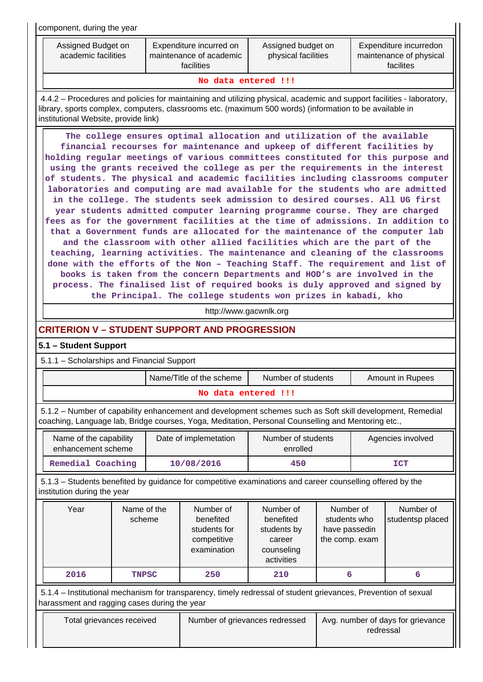| component, during the year                                                                                                                                                                                                                                               |                                                                                                                                                                                                                                                                                                                                                                                                                                                                                                                                                                                                                                                                                                                                                                                                                                                                                                                                                                                                                                                                                                                                                                                                                                                                                                                                                                                                                          |  |                                                                      |                                                                             |                                                              |                   |                               |  |  |  |  |
|--------------------------------------------------------------------------------------------------------------------------------------------------------------------------------------------------------------------------------------------------------------------------|--------------------------------------------------------------------------------------------------------------------------------------------------------------------------------------------------------------------------------------------------------------------------------------------------------------------------------------------------------------------------------------------------------------------------------------------------------------------------------------------------------------------------------------------------------------------------------------------------------------------------------------------------------------------------------------------------------------------------------------------------------------------------------------------------------------------------------------------------------------------------------------------------------------------------------------------------------------------------------------------------------------------------------------------------------------------------------------------------------------------------------------------------------------------------------------------------------------------------------------------------------------------------------------------------------------------------------------------------------------------------------------------------------------------------|--|----------------------------------------------------------------------|-----------------------------------------------------------------------------|--------------------------------------------------------------|-------------------|-------------------------------|--|--|--|--|
|                                                                                                                                                                                                                                                                          | Assigned budget on<br>Expenditure incurredon<br>Assigned Budget on<br>Expenditure incurred on<br>academic facilities<br>maintenance of academic<br>physical facilities<br>maintenance of physical<br>facilites<br>facilities                                                                                                                                                                                                                                                                                                                                                                                                                                                                                                                                                                                                                                                                                                                                                                                                                                                                                                                                                                                                                                                                                                                                                                                             |  |                                                                      |                                                                             |                                                              |                   |                               |  |  |  |  |
| No data entered !!!                                                                                                                                                                                                                                                      |                                                                                                                                                                                                                                                                                                                                                                                                                                                                                                                                                                                                                                                                                                                                                                                                                                                                                                                                                                                                                                                                                                                                                                                                                                                                                                                                                                                                                          |  |                                                                      |                                                                             |                                                              |                   |                               |  |  |  |  |
| 4.4.2 – Procedures and policies for maintaining and utilizing physical, academic and support facilities - laboratory,<br>library, sports complex, computers, classrooms etc. (maximum 500 words) (information to be available in<br>institutional Website, provide link) |                                                                                                                                                                                                                                                                                                                                                                                                                                                                                                                                                                                                                                                                                                                                                                                                                                                                                                                                                                                                                                                                                                                                                                                                                                                                                                                                                                                                                          |  |                                                                      |                                                                             |                                                              |                   |                               |  |  |  |  |
| 5.1.1 - Scholarships and Financial Support                                                                                                                                                                                                                               | The college ensures optimal allocation and utilization of the available<br>financial recourses for maintenance and upkeep of different facilities by<br>holding regular meetings of various committees constituted for this purpose and<br>using the grants received the college as per the requirements in the interest<br>of students. The physical and academic facilities including classrooms computer<br>laboratories and computing are mad available for the students who are admitted<br>in the college. The students seek admission to desired courses. All UG first<br>year students admitted computer learning programme course. They are charged<br>fees as for the government facilities at the time of admissions. In addition to<br>that a Government funds are allocated for the maintenance of the computer lab<br>and the classroom with other allied facilities which are the part of the<br>teaching, learning activities. The maintenance and cleaning of the classrooms<br>done with the efforts of the Non - Teaching Staff. The requirement and list of<br>books is taken from the concern Departments and HOD's are involved in the<br>process. The finalised list of required books is duly approved and signed by<br>the Principal. The college students won prizes in kabadi, kho<br>http://www.gacwnlk.org<br><b>CRITERION V - STUDENT SUPPORT AND PROGRESSION</b><br>5.1 - Student Support |  |                                                                      |                                                                             |                                                              |                   |                               |  |  |  |  |
|                                                                                                                                                                                                                                                                          |                                                                                                                                                                                                                                                                                                                                                                                                                                                                                                                                                                                                                                                                                                                                                                                                                                                                                                                                                                                                                                                                                                                                                                                                                                                                                                                                                                                                                          |  | Name/Title of the scheme                                             | Number of students                                                          |                                                              |                   | Amount in Rupees              |  |  |  |  |
|                                                                                                                                                                                                                                                                          |                                                                                                                                                                                                                                                                                                                                                                                                                                                                                                                                                                                                                                                                                                                                                                                                                                                                                                                                                                                                                                                                                                                                                                                                                                                                                                                                                                                                                          |  | No data entered !!!                                                  |                                                                             |                                                              |                   |                               |  |  |  |  |
| 5.1.2 - Number of capability enhancement and development schemes such as Soft skill development, Remedial<br>coaching, Language lab, Bridge courses, Yoga, Meditation, Personal Counselling and Mentoring etc.,                                                          |                                                                                                                                                                                                                                                                                                                                                                                                                                                                                                                                                                                                                                                                                                                                                                                                                                                                                                                                                                                                                                                                                                                                                                                                                                                                                                                                                                                                                          |  |                                                                      |                                                                             |                                                              |                   |                               |  |  |  |  |
| Name of the capability<br>enhancement scheme                                                                                                                                                                                                                             |                                                                                                                                                                                                                                                                                                                                                                                                                                                                                                                                                                                                                                                                                                                                                                                                                                                                                                                                                                                                                                                                                                                                                                                                                                                                                                                                                                                                                          |  | Date of implemetation                                                | Number of students<br>enrolled                                              |                                                              | Agencies involved |                               |  |  |  |  |
| Remedial Coaching                                                                                                                                                                                                                                                        |                                                                                                                                                                                                                                                                                                                                                                                                                                                                                                                                                                                                                                                                                                                                                                                                                                                                                                                                                                                                                                                                                                                                                                                                                                                                                                                                                                                                                          |  | 10/08/2016                                                           | 450                                                                         |                                                              |                   | <b>ICT</b>                    |  |  |  |  |
| 5.1.3 – Students benefited by guidance for competitive examinations and career counselling offered by the<br>institution during the year                                                                                                                                 |                                                                                                                                                                                                                                                                                                                                                                                                                                                                                                                                                                                                                                                                                                                                                                                                                                                                                                                                                                                                                                                                                                                                                                                                                                                                                                                                                                                                                          |  |                                                                      |                                                                             |                                                              |                   |                               |  |  |  |  |
| Year                                                                                                                                                                                                                                                                     | Name of the<br>scheme                                                                                                                                                                                                                                                                                                                                                                                                                                                                                                                                                                                                                                                                                                                                                                                                                                                                                                                                                                                                                                                                                                                                                                                                                                                                                                                                                                                                    |  | Number of<br>benefited<br>students for<br>competitive<br>examination | Number of<br>benefited<br>students by<br>career<br>counseling<br>activities | Number of<br>students who<br>have passedin<br>the comp. exam |                   | Number of<br>studentsp placed |  |  |  |  |
| 2016                                                                                                                                                                                                                                                                     | <b>TNPSC</b>                                                                                                                                                                                                                                                                                                                                                                                                                                                                                                                                                                                                                                                                                                                                                                                                                                                                                                                                                                                                                                                                                                                                                                                                                                                                                                                                                                                                             |  | 250                                                                  | 210                                                                         | 6                                                            |                   | 6                             |  |  |  |  |
| 5.1.4 – Institutional mechanism for transparency, timely redressal of student grievances, Prevention of sexual<br>harassment and ragging cases during the year                                                                                                           |                                                                                                                                                                                                                                                                                                                                                                                                                                                                                                                                                                                                                                                                                                                                                                                                                                                                                                                                                                                                                                                                                                                                                                                                                                                                                                                                                                                                                          |  |                                                                      |                                                                             |                                                              |                   |                               |  |  |  |  |
|                                                                                                                                                                                                                                                                          | Total grievances received<br>Avg. number of days for grievance<br>Number of grievances redressed<br>redressal                                                                                                                                                                                                                                                                                                                                                                                                                                                                                                                                                                                                                                                                                                                                                                                                                                                                                                                                                                                                                                                                                                                                                                                                                                                                                                            |  |                                                                      |                                                                             |                                                              |                   |                               |  |  |  |  |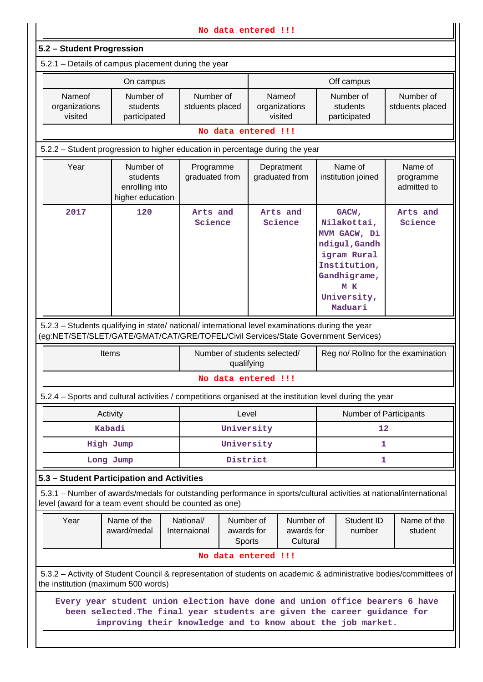| No data entered !!!                                                                                                                                                                    |                                                                                                                                                                                                                              |  |                              |                                                                          |                              |                                    |                                       |                                                                                                                                       |                                     |  |  |  |  |
|----------------------------------------------------------------------------------------------------------------------------------------------------------------------------------------|------------------------------------------------------------------------------------------------------------------------------------------------------------------------------------------------------------------------------|--|------------------------------|--------------------------------------------------------------------------|------------------------------|------------------------------------|---------------------------------------|---------------------------------------------------------------------------------------------------------------------------------------|-------------------------------------|--|--|--|--|
| 5.2 - Student Progression                                                                                                                                                              |                                                                                                                                                                                                                              |  |                              |                                                                          |                              |                                    |                                       |                                                                                                                                       |                                     |  |  |  |  |
| 5.2.1 - Details of campus placement during the year                                                                                                                                    |                                                                                                                                                                                                                              |  |                              |                                                                          |                              |                                    |                                       |                                                                                                                                       |                                     |  |  |  |  |
|                                                                                                                                                                                        | On campus                                                                                                                                                                                                                    |  |                              |                                                                          |                              |                                    |                                       | Off campus                                                                                                                            |                                     |  |  |  |  |
| Nameof<br>organizations<br>visited                                                                                                                                                     | Number of<br>students<br>participated                                                                                                                                                                                        |  | Number of<br>stduents placed |                                                                          |                              | Nameof<br>organizations<br>visited | Number of<br>students<br>participated |                                                                                                                                       | Number of<br>stduents placed        |  |  |  |  |
| No data entered !!!                                                                                                                                                                    |                                                                                                                                                                                                                              |  |                              |                                                                          |                              |                                    |                                       |                                                                                                                                       |                                     |  |  |  |  |
| 5.2.2 – Student progression to higher education in percentage during the year                                                                                                          |                                                                                                                                                                                                                              |  |                              |                                                                          |                              |                                    |                                       |                                                                                                                                       |                                     |  |  |  |  |
| Year                                                                                                                                                                                   | Number of<br>students<br>enrolling into<br>higher education                                                                                                                                                                  |  | Programme<br>graduated from  |                                                                          | Depratment<br>graduated from |                                    | Name of<br>institution joined         |                                                                                                                                       | Name of<br>programme<br>admitted to |  |  |  |  |
| 2017                                                                                                                                                                                   | 120                                                                                                                                                                                                                          |  |                              | Arts and<br>Science                                                      |                              | Arts and<br>Science                |                                       | GACW,<br>Nilakottai,<br>MVM GACW, Di<br>ndigul, Gandh<br>igram Rural<br>Institution,<br>Gandhigrame,<br>M K<br>University,<br>Maduari | Arts and<br>Science                 |  |  |  |  |
| 5.2.3 - Students qualifying in state/ national/ international level examinations during the year<br>(eg:NET/SET/SLET/GATE/GMAT/CAT/GRE/TOFEL/Civil Services/State Government Services) |                                                                                                                                                                                                                              |  |                              |                                                                          |                              |                                    |                                       |                                                                                                                                       |                                     |  |  |  |  |
|                                                                                                                                                                                        | Items                                                                                                                                                                                                                        |  |                              | qualifying                                                               | Number of students selected/ |                                    |                                       |                                                                                                                                       | Reg no/ Rollno for the examination  |  |  |  |  |
|                                                                                                                                                                                        |                                                                                                                                                                                                                              |  |                              |                                                                          | No data entered !!!          |                                    |                                       |                                                                                                                                       |                                     |  |  |  |  |
| 5.2.4 – Sports and cultural activities / competitions organised at the institution level during the year                                                                               |                                                                                                                                                                                                                              |  |                              |                                                                          |                              |                                    |                                       |                                                                                                                                       |                                     |  |  |  |  |
|                                                                                                                                                                                        | Activity                                                                                                                                                                                                                     |  |                              | Level                                                                    |                              |                                    |                                       | Number of Participants                                                                                                                |                                     |  |  |  |  |
|                                                                                                                                                                                        | Kabadi                                                                                                                                                                                                                       |  |                              | University                                                               |                              |                                    |                                       | 12                                                                                                                                    |                                     |  |  |  |  |
|                                                                                                                                                                                        | High Jump                                                                                                                                                                                                                    |  |                              | University                                                               |                              |                                    |                                       | 1                                                                                                                                     |                                     |  |  |  |  |
|                                                                                                                                                                                        | Long Jump                                                                                                                                                                                                                    |  |                              | District                                                                 |                              |                                    |                                       | 1                                                                                                                                     |                                     |  |  |  |  |
|                                                                                                                                                                                        | 5.3 - Student Participation and Activities<br>5.3.1 – Number of awards/medals for outstanding performance in sports/cultural activities at national/international<br>level (award for a team event should be counted as one) |  |                              |                                                                          |                              |                                    |                                       |                                                                                                                                       |                                     |  |  |  |  |
| Year                                                                                                                                                                                   | Name of the<br>National/<br>award/medal<br>Internaional                                                                                                                                                                      |  |                              | Number of<br>Number of<br>awards for<br>awards for<br>Cultural<br>Sports |                              | Student ID<br>number               |                                       | Name of the<br>student                                                                                                                |                                     |  |  |  |  |
|                                                                                                                                                                                        | No data entered !!!                                                                                                                                                                                                          |  |                              |                                                                          |                              |                                    |                                       |                                                                                                                                       |                                     |  |  |  |  |
|                                                                                                                                                                                        | 5.3.2 - Activity of Student Council & representation of students on academic & administrative bodies/committees of<br>the institution (maximum 500 words)                                                                    |  |                              |                                                                          |                              |                                    |                                       |                                                                                                                                       |                                     |  |  |  |  |
|                                                                                                                                                                                        | Every year student union election have done and union office bearers 6 have<br>been selected. The final year students are given the career guidance for<br>improving their knowledge and to know about the job market.       |  |                              |                                                                          |                              |                                    |                                       |                                                                                                                                       |                                     |  |  |  |  |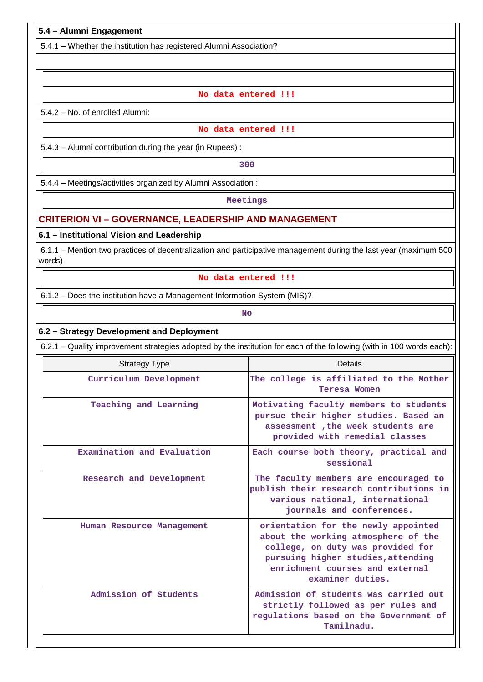# **5.4 – Alumni Engagement**

5.4.1 – Whether the institution has registered Alumni Association?

#### **No data entered !!!**

5.4.2 – No. of enrolled Alumni:

#### **No data entered !!!**

5.4.3 – Alumni contribution during the year (in Rupees) :

**1 300** 

5.4.4 – Meetings/activities organized by Alumni Association :

**Meetings**

#### **CRITERION VI – GOVERNANCE, LEADERSHIP AND MANAGEMENT**

#### **6.1 – Institutional Vision and Leadership**

 6.1.1 – Mention two practices of decentralization and participative management during the last year (maximum 500 words)

#### **No data entered !!!**

6.1.2 – Does the institution have a Management Information System (MIS)?

**No. 2. In the case of the case of the case of the case of the case of the case of the case of the case of the case of the case of the case of the case of the case of the case of the case of the case of the case of the cas** 

#### **6.2 – Strategy Development and Deployment**

6.2.1 – Quality improvement strategies adopted by the institution for each of the following (with in 100 words each):

| <b>Strategy Type</b>       | Details                                                                                                                                                                                                      |
|----------------------------|--------------------------------------------------------------------------------------------------------------------------------------------------------------------------------------------------------------|
| Curriculum Development     | The college is affiliated to the Mother<br>Teresa Women                                                                                                                                                      |
| Teaching and Learning      | Motivating faculty members to students<br>pursue their higher studies. Based an<br>assessment, the week students are<br>provided with remedial classes                                                       |
| Examination and Evaluation | Each course both theory, practical and<br>sessional                                                                                                                                                          |
| Research and Development   | The faculty members are encouraged to<br>publish their research contributions in<br>various national, international<br>journals and conferences.                                                             |
| Human Resource Management  | orientation for the newly appointed<br>about the working atmosphere of the<br>college, on duty was provided for<br>pursuing higher studies, attending<br>enrichment courses and external<br>examiner duties. |
| Admission of Students      | Admission of students was carried out<br>strictly followed as per rules and<br>regulations based on the Government of<br>Tamilnadu.                                                                          |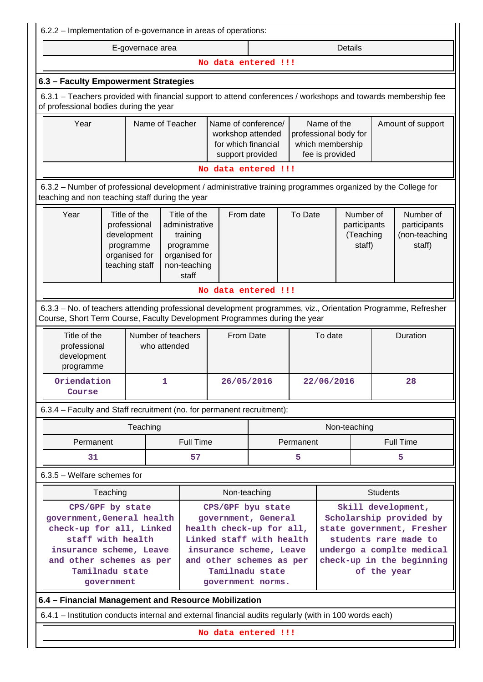| 6.2.2 – Implementation of e-governance in areas of operations:                                                                                          |                                                                                                                                                                                                                                                  |          |   |                                                                                                                         |                                                                                     |            |         |                                                                             |                                                                                                |                                                      |                                                                                                              |  |
|---------------------------------------------------------------------------------------------------------------------------------------------------------|--------------------------------------------------------------------------------------------------------------------------------------------------------------------------------------------------------------------------------------------------|----------|---|-------------------------------------------------------------------------------------------------------------------------|-------------------------------------------------------------------------------------|------------|---------|-----------------------------------------------------------------------------|------------------------------------------------------------------------------------------------|------------------------------------------------------|--------------------------------------------------------------------------------------------------------------|--|
| <b>Details</b><br>E-governace area                                                                                                                      |                                                                                                                                                                                                                                                  |          |   |                                                                                                                         |                                                                                     |            |         |                                                                             |                                                                                                |                                                      |                                                                                                              |  |
| No data entered !!!                                                                                                                                     |                                                                                                                                                                                                                                                  |          |   |                                                                                                                         |                                                                                     |            |         |                                                                             |                                                                                                |                                                      |                                                                                                              |  |
|                                                                                                                                                         | 6.3 - Faculty Empowerment Strategies                                                                                                                                                                                                             |          |   |                                                                                                                         |                                                                                     |            |         |                                                                             |                                                                                                |                                                      |                                                                                                              |  |
| 6.3.1 - Teachers provided with financial support to attend conferences / workshops and towards membership fee<br>of professional bodies during the year |                                                                                                                                                                                                                                                  |          |   |                                                                                                                         |                                                                                     |            |         |                                                                             |                                                                                                |                                                      |                                                                                                              |  |
|                                                                                                                                                         | Year<br>Name of Teacher                                                                                                                                                                                                                          |          |   |                                                                                                                         | Name of conference/<br>workshop attended<br>for which financial<br>support provided |            |         | Name of the<br>professional body for<br>which membership<br>fee is provided |                                                                                                |                                                      | Amount of support                                                                                            |  |
| No data entered !!!                                                                                                                                     |                                                                                                                                                                                                                                                  |          |   |                                                                                                                         |                                                                                     |            |         |                                                                             |                                                                                                |                                                      |                                                                                                              |  |
| teaching and non teaching staff during the year                                                                                                         |                                                                                                                                                                                                                                                  |          |   |                                                                                                                         |                                                                                     |            |         |                                                                             |                                                                                                |                                                      | 6.3.2 - Number of professional development / administrative training programmes organized by the College for |  |
| Year                                                                                                                                                    | Title of the<br>Title of the<br>professional<br>administrative<br>development<br>training<br>programme<br>programme<br>organised for<br>organised for<br>teaching staff<br>non-teaching<br>staff                                                 |          |   |                                                                                                                         | From date                                                                           |            | To Date | Number of<br>participants<br>(Teaching<br>staff)                            |                                                                                                | Number of<br>participants<br>(non-teaching<br>staff) |                                                                                                              |  |
|                                                                                                                                                         |                                                                                                                                                                                                                                                  |          |   |                                                                                                                         | No data entered !!!                                                                 |            |         |                                                                             |                                                                                                |                                                      |                                                                                                              |  |
|                                                                                                                                                         | 6.3.3 - No. of teachers attending professional development programmes, viz., Orientation Programme, Refresher<br>Course, Short Term Course, Faculty Development Programmes during the year                                                       |          |   |                                                                                                                         |                                                                                     |            |         |                                                                             |                                                                                                |                                                      |                                                                                                              |  |
|                                                                                                                                                         | Title of the<br>Number of teachers<br>professional<br>who attended<br>development<br>programme                                                                                                                                                   |          |   | <b>From Date</b>                                                                                                        |                                                                                     |            | To date |                                                                             |                                                                                                |                                                      | Duration                                                                                                     |  |
|                                                                                                                                                         | Oriendation<br>Course                                                                                                                                                                                                                            |          | 1 | 26/05/2016                                                                                                              |                                                                                     | 22/06/2016 |         |                                                                             | 28                                                                                             |                                                      |                                                                                                              |  |
| 6.3.4 - Faculty and Staff recruitment (no. for permanent recruitment):                                                                                  |                                                                                                                                                                                                                                                  |          |   |                                                                                                                         |                                                                                     |            |         |                                                                             |                                                                                                |                                                      |                                                                                                              |  |
|                                                                                                                                                         |                                                                                                                                                                                                                                                  | Teaching |   |                                                                                                                         |                                                                                     |            |         |                                                                             | Non-teaching                                                                                   |                                                      |                                                                                                              |  |
|                                                                                                                                                         | Permanent                                                                                                                                                                                                                                        |          |   | <b>Full Time</b>                                                                                                        |                                                                                     |            |         | Permanent                                                                   |                                                                                                |                                                      | <b>Full Time</b>                                                                                             |  |
|                                                                                                                                                         | 31                                                                                                                                                                                                                                               |          |   | 57                                                                                                                      |                                                                                     |            |         | 5                                                                           |                                                                                                |                                                      | 5                                                                                                            |  |
| 6.3.5 - Welfare schemes for                                                                                                                             |                                                                                                                                                                                                                                                  |          |   |                                                                                                                         |                                                                                     |            |         |                                                                             |                                                                                                |                                                      |                                                                                                              |  |
|                                                                                                                                                         | Teaching                                                                                                                                                                                                                                         |          |   |                                                                                                                         |                                                                                     |            |         |                                                                             |                                                                                                | <b>Students</b>                                      |                                                                                                              |  |
|                                                                                                                                                         | Non-teaching<br>Skill development,<br>CPS/GPF by state<br>CPS/GPF byu state<br>Scholarship provided by<br>government, General health<br>government, General<br>check-up for all, Linked<br>health check-up for all,<br>state government, Fresher |          |   |                                                                                                                         |                                                                                     |            |         |                                                                             |                                                                                                |                                                      |                                                                                                              |  |
| staff with health<br>insurance scheme, Leave<br>and other schemes as per<br>Tamilnadu state<br>government                                               |                                                                                                                                                                                                                                                  |          |   | Linked staff with health<br>insurance scheme, Leave<br>and other schemes as per<br>Tamilnadu state<br>government norms. |                                                                                     |            |         |                                                                             | students rare made to<br>undergo a complte medical<br>check-up in the beginning<br>of the year |                                                      |                                                                                                              |  |
| 6.4 - Financial Management and Resource Mobilization                                                                                                    |                                                                                                                                                                                                                                                  |          |   |                                                                                                                         |                                                                                     |            |         |                                                                             |                                                                                                |                                                      |                                                                                                              |  |
| 6.4.1 - Institution conducts internal and external financial audits regularly (with in 100 words each)                                                  |                                                                                                                                                                                                                                                  |          |   |                                                                                                                         |                                                                                     |            |         |                                                                             |                                                                                                |                                                      |                                                                                                              |  |
|                                                                                                                                                         |                                                                                                                                                                                                                                                  |          |   |                                                                                                                         | No data entered !!!                                                                 |            |         |                                                                             |                                                                                                |                                                      |                                                                                                              |  |
|                                                                                                                                                         |                                                                                                                                                                                                                                                  |          |   |                                                                                                                         |                                                                                     |            |         |                                                                             |                                                                                                |                                                      |                                                                                                              |  |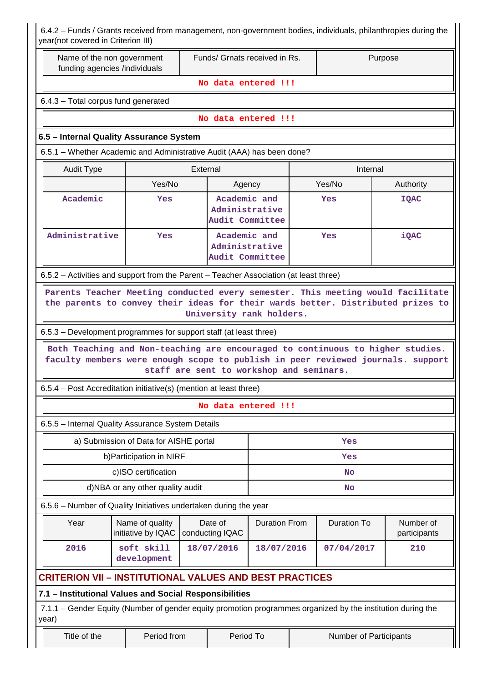| 6.4.2 - Funds / Grants received from management, non-government bodies, individuals, philanthropies during the<br>year(not covered in Criterion III)                                                                                                                                                                                                                                              |                                        |                                                   |                                                   |                                          |  |                        |                           |  |  |  |  |
|---------------------------------------------------------------------------------------------------------------------------------------------------------------------------------------------------------------------------------------------------------------------------------------------------------------------------------------------------------------------------------------------------|----------------------------------------|---------------------------------------------------|---------------------------------------------------|------------------------------------------|--|------------------------|---------------------------|--|--|--|--|
| Name of the non government<br>funding agencies /individuals                                                                                                                                                                                                                                                                                                                                       |                                        |                                                   |                                                   | Funds/ Grnats received in Rs.<br>Purpose |  |                        |                           |  |  |  |  |
|                                                                                                                                                                                                                                                                                                                                                                                                   |                                        |                                                   |                                                   | No data entered !!!                      |  |                        |                           |  |  |  |  |
| 6.4.3 - Total corpus fund generated                                                                                                                                                                                                                                                                                                                                                               |                                        |                                                   |                                                   |                                          |  |                        |                           |  |  |  |  |
| No data entered !!!                                                                                                                                                                                                                                                                                                                                                                               |                                        |                                                   |                                                   |                                          |  |                        |                           |  |  |  |  |
| 6.5 - Internal Quality Assurance System                                                                                                                                                                                                                                                                                                                                                           |                                        |                                                   |                                                   |                                          |  |                        |                           |  |  |  |  |
| 6.5.1 – Whether Academic and Administrative Audit (AAA) has been done?                                                                                                                                                                                                                                                                                                                            |                                        |                                                   |                                                   |                                          |  |                        |                           |  |  |  |  |
| <b>Audit Type</b>                                                                                                                                                                                                                                                                                                                                                                                 | External<br>Internal                   |                                                   |                                                   |                                          |  |                        |                           |  |  |  |  |
|                                                                                                                                                                                                                                                                                                                                                                                                   | Yes/No                                 |                                                   | Agency                                            |                                          |  | Yes/No                 | Authority                 |  |  |  |  |
| Academic                                                                                                                                                                                                                                                                                                                                                                                          | Yes                                    |                                                   | Academic and<br>Administrative<br>Audit Committee |                                          |  | Yes                    | <b>IQAC</b>               |  |  |  |  |
| Administrative                                                                                                                                                                                                                                                                                                                                                                                    | Yes                                    | Academic and<br>Administrative<br>Audit Committee |                                                   | Yes                                      |  |                        | iQAC                      |  |  |  |  |
| 6.5.2 – Activities and support from the Parent – Teacher Association (at least three)                                                                                                                                                                                                                                                                                                             |                                        |                                                   |                                                   |                                          |  |                        |                           |  |  |  |  |
| the parents to convey their ideas for their wards better. Distributed prizes to<br>University rank holders.<br>6.5.3 – Development programmes for support staff (at least three)<br>Both Teaching and Non-teaching are encouraged to continuous to higher studies.<br>faculty members were enough scope to publish in peer reviewed journals. support<br>staff are sent to workshop and seminars. |                                        |                                                   |                                                   |                                          |  |                        |                           |  |  |  |  |
| 6.5.4 - Post Accreditation initiative(s) (mention at least three)                                                                                                                                                                                                                                                                                                                                 |                                        |                                                   |                                                   |                                          |  |                        |                           |  |  |  |  |
|                                                                                                                                                                                                                                                                                                                                                                                                   |                                        |                                                   |                                                   | No data entered !!!                      |  |                        |                           |  |  |  |  |
| 6.5.5 - Internal Quality Assurance System Details                                                                                                                                                                                                                                                                                                                                                 |                                        |                                                   |                                                   |                                          |  |                        |                           |  |  |  |  |
|                                                                                                                                                                                                                                                                                                                                                                                                   | a) Submission of Data for AISHE portal |                                                   |                                                   |                                          |  | Yes                    |                           |  |  |  |  |
|                                                                                                                                                                                                                                                                                                                                                                                                   | b) Participation in NIRF               |                                                   |                                                   |                                          |  | Yes                    |                           |  |  |  |  |
|                                                                                                                                                                                                                                                                                                                                                                                                   | c)ISO certification                    |                                                   |                                                   | <b>No</b>                                |  |                        |                           |  |  |  |  |
|                                                                                                                                                                                                                                                                                                                                                                                                   | d)NBA or any other quality audit       |                                                   |                                                   |                                          |  | <b>No</b>              |                           |  |  |  |  |
| 6.5.6 - Number of Quality Initiatives undertaken during the year                                                                                                                                                                                                                                                                                                                                  |                                        |                                                   |                                                   |                                          |  |                        |                           |  |  |  |  |
| Year                                                                                                                                                                                                                                                                                                                                                                                              | Name of quality<br>initiative by IQAC  |                                                   | Date of<br>conducting IQAC                        | <b>Duration From</b>                     |  | <b>Duration To</b>     | Number of<br>participants |  |  |  |  |
| 2016                                                                                                                                                                                                                                                                                                                                                                                              | soft skill<br>development              |                                                   | 18/07/2016                                        | 18/07/2016                               |  | 07/04/2017             | 210                       |  |  |  |  |
| <b>CRITERION VII - INSTITUTIONAL VALUES AND BEST PRACTICES</b>                                                                                                                                                                                                                                                                                                                                    |                                        |                                                   |                                                   |                                          |  |                        |                           |  |  |  |  |
| 7.1 - Institutional Values and Social Responsibilities                                                                                                                                                                                                                                                                                                                                            |                                        |                                                   |                                                   |                                          |  |                        |                           |  |  |  |  |
| 7.1.1 - Gender Equity (Number of gender equity promotion programmes organized by the institution during the<br>year)                                                                                                                                                                                                                                                                              |                                        |                                                   |                                                   |                                          |  |                        |                           |  |  |  |  |
| Title of the                                                                                                                                                                                                                                                                                                                                                                                      | Period from                            |                                                   | Period To                                         |                                          |  | Number of Participants |                           |  |  |  |  |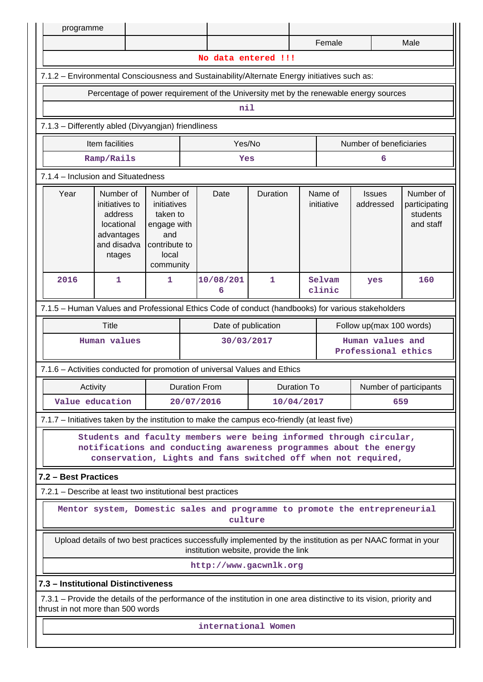| programme                                                                                                                                                  |                                                                                                                                                                                                           |   |                      |                        |              |                |                       |                                                                                       |                                                     |  |
|------------------------------------------------------------------------------------------------------------------------------------------------------------|-----------------------------------------------------------------------------------------------------------------------------------------------------------------------------------------------------------|---|----------------------|------------------------|--------------|----------------|-----------------------|---------------------------------------------------------------------------------------|-----------------------------------------------------|--|
|                                                                                                                                                            |                                                                                                                                                                                                           |   |                      |                        |              | Male<br>Female |                       |                                                                                       |                                                     |  |
|                                                                                                                                                            |                                                                                                                                                                                                           |   |                      | No data entered !!!    |              |                |                       |                                                                                       |                                                     |  |
| 7.1.2 - Environmental Consciousness and Sustainability/Alternate Energy initiatives such as:                                                               |                                                                                                                                                                                                           |   |                      |                        |              |                |                       |                                                                                       |                                                     |  |
|                                                                                                                                                            |                                                                                                                                                                                                           |   |                      |                        |              |                |                       | Percentage of power requirement of the University met by the renewable energy sources |                                                     |  |
| nil                                                                                                                                                        |                                                                                                                                                                                                           |   |                      |                        |              |                |                       |                                                                                       |                                                     |  |
| 7.1.3 - Differently abled (Divyangjan) friendliness                                                                                                        |                                                                                                                                                                                                           |   |                      |                        |              |                |                       |                                                                                       |                                                     |  |
|                                                                                                                                                            | Item facilities                                                                                                                                                                                           |   |                      | Yes/No                 |              |                |                       | Number of beneficiaries                                                               |                                                     |  |
|                                                                                                                                                            | Ramp/Rails                                                                                                                                                                                                |   |                      | Yes                    |              |                |                       | 6                                                                                     |                                                     |  |
| 7.1.4 - Inclusion and Situatedness                                                                                                                         |                                                                                                                                                                                                           |   |                      |                        |              |                |                       |                                                                                       |                                                     |  |
| Year                                                                                                                                                       | Number of<br>Number of<br>initiatives to<br>initiatives<br>address<br>taken to<br>locational<br>engage with<br>advantages<br>and<br>and disadva<br>contribute to<br>local<br>ntages<br>community          |   |                      | Date                   | Duration     |                | Name of<br>initiative | <b>Issues</b><br>addressed                                                            | Number of<br>participating<br>students<br>and staff |  |
| 2016                                                                                                                                                       | 1                                                                                                                                                                                                         | 1 |                      | 10/08/201<br>6         | $\mathbf{1}$ |                | Selvam<br>clinic      | yes                                                                                   | 160                                                 |  |
| 7.1.5 - Human Values and Professional Ethics Code of conduct (handbooks) for various stakeholders                                                          |                                                                                                                                                                                                           |   |                      |                        |              |                |                       |                                                                                       |                                                     |  |
|                                                                                                                                                            | <b>Title</b>                                                                                                                                                                                              |   |                      | Date of publication    |              |                |                       | Follow up(max 100 words)                                                              |                                                     |  |
|                                                                                                                                                            | Human values                                                                                                                                                                                              |   |                      | 30/03/2017             |              |                |                       | Human values and<br>Professional ethics                                               |                                                     |  |
| 7.1.6 - Activities conducted for promotion of universal Values and Ethics                                                                                  |                                                                                                                                                                                                           |   |                      |                        |              |                |                       |                                                                                       |                                                     |  |
| Activity                                                                                                                                                   |                                                                                                                                                                                                           |   | <b>Duration From</b> |                        |              | Duration To    |                       | Number of participants                                                                |                                                     |  |
| Value education                                                                                                                                            |                                                                                                                                                                                                           |   | 20/07/2016           |                        | 10/04/2017   |                | 659                   |                                                                                       |                                                     |  |
| 7.1.7 – Initiatives taken by the institution to make the campus eco-friendly (at least five)                                                               |                                                                                                                                                                                                           |   |                      |                        |              |                |                       |                                                                                       |                                                     |  |
|                                                                                                                                                            | Students and faculty members were being informed through circular,<br>notifications and conducting awareness programmes about the energy<br>conservation, Lights and fans switched off when not required, |   |                      |                        |              |                |                       |                                                                                       |                                                     |  |
| 7.2 - Best Practices                                                                                                                                       |                                                                                                                                                                                                           |   |                      |                        |              |                |                       |                                                                                       |                                                     |  |
| 7.2.1 – Describe at least two institutional best practices                                                                                                 |                                                                                                                                                                                                           |   |                      |                        |              |                |                       |                                                                                       |                                                     |  |
|                                                                                                                                                            | Mentor system, Domestic sales and programme to promote the entrepreneurial<br>culture                                                                                                                     |   |                      |                        |              |                |                       |                                                                                       |                                                     |  |
|                                                                                                                                                            | Upload details of two best practices successfully implemented by the institution as per NAAC format in your<br>institution website, provide the link                                                      |   |                      |                        |              |                |                       |                                                                                       |                                                     |  |
|                                                                                                                                                            |                                                                                                                                                                                                           |   |                      | http://www.gacwnlk.org |              |                |                       |                                                                                       |                                                     |  |
| 7.3 - Institutional Distinctiveness                                                                                                                        |                                                                                                                                                                                                           |   |                      |                        |              |                |                       |                                                                                       |                                                     |  |
| 7.3.1 – Provide the details of the performance of the institution in one area distinctive to its vision, priority and<br>thrust in not more than 500 words |                                                                                                                                                                                                           |   |                      |                        |              |                |                       |                                                                                       |                                                     |  |
|                                                                                                                                                            |                                                                                                                                                                                                           |   |                      | international Women    |              |                |                       |                                                                                       |                                                     |  |